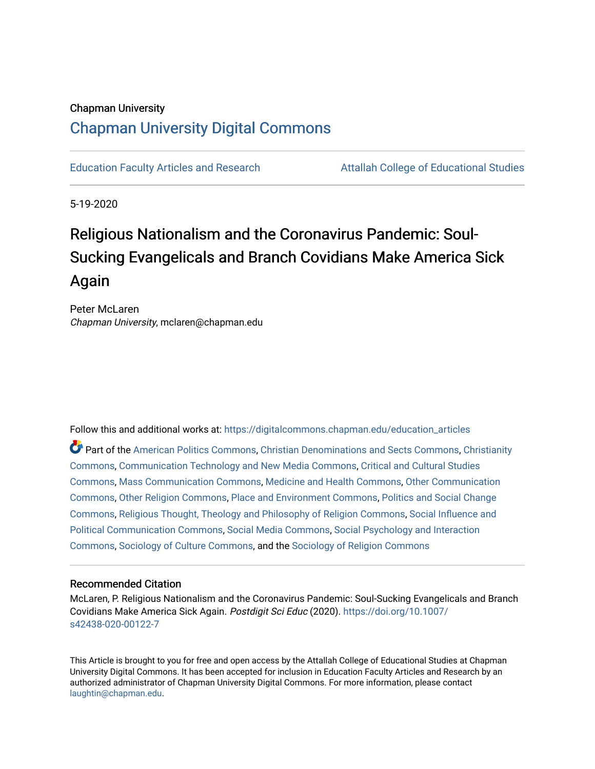## Chapman University [Chapman University Digital Commons](https://digitalcommons.chapman.edu/)

[Education Faculty Articles and Research](https://digitalcommons.chapman.edu/education_articles) [Attallah College of Educational Studies](https://digitalcommons.chapman.edu/ces) 

5-19-2020

# Religious Nationalism and the Coronavirus Pandemic: Soul-Sucking Evangelicals and Branch Covidians Make America Sick Again

Peter McLaren Chapman University, mclaren@chapman.edu

Follow this and additional works at: [https://digitalcommons.chapman.edu/education\\_articles](https://digitalcommons.chapman.edu/education_articles?utm_source=digitalcommons.chapman.edu%2Feducation_articles%2F258&utm_medium=PDF&utm_campaign=PDFCoverPages)

Part of the [American Politics Commons,](http://network.bepress.com/hgg/discipline/387?utm_source=digitalcommons.chapman.edu%2Feducation_articles%2F258&utm_medium=PDF&utm_campaign=PDFCoverPages) [Christian Denominations and Sects Commons,](http://network.bepress.com/hgg/discipline/1184?utm_source=digitalcommons.chapman.edu%2Feducation_articles%2F258&utm_medium=PDF&utm_campaign=PDFCoverPages) [Christianity](http://network.bepress.com/hgg/discipline/1181?utm_source=digitalcommons.chapman.edu%2Feducation_articles%2F258&utm_medium=PDF&utm_campaign=PDFCoverPages) [Commons](http://network.bepress.com/hgg/discipline/1181?utm_source=digitalcommons.chapman.edu%2Feducation_articles%2F258&utm_medium=PDF&utm_campaign=PDFCoverPages), [Communication Technology and New Media Commons](http://network.bepress.com/hgg/discipline/327?utm_source=digitalcommons.chapman.edu%2Feducation_articles%2F258&utm_medium=PDF&utm_campaign=PDFCoverPages), [Critical and Cultural Studies](http://network.bepress.com/hgg/discipline/328?utm_source=digitalcommons.chapman.edu%2Feducation_articles%2F258&utm_medium=PDF&utm_campaign=PDFCoverPages) [Commons](http://network.bepress.com/hgg/discipline/328?utm_source=digitalcommons.chapman.edu%2Feducation_articles%2F258&utm_medium=PDF&utm_campaign=PDFCoverPages), [Mass Communication Commons,](http://network.bepress.com/hgg/discipline/334?utm_source=digitalcommons.chapman.edu%2Feducation_articles%2F258&utm_medium=PDF&utm_campaign=PDFCoverPages) [Medicine and Health Commons](http://network.bepress.com/hgg/discipline/422?utm_source=digitalcommons.chapman.edu%2Feducation_articles%2F258&utm_medium=PDF&utm_campaign=PDFCoverPages), [Other Communication](http://network.bepress.com/hgg/discipline/339?utm_source=digitalcommons.chapman.edu%2Feducation_articles%2F258&utm_medium=PDF&utm_campaign=PDFCoverPages) [Commons](http://network.bepress.com/hgg/discipline/339?utm_source=digitalcommons.chapman.edu%2Feducation_articles%2F258&utm_medium=PDF&utm_campaign=PDFCoverPages), [Other Religion Commons,](http://network.bepress.com/hgg/discipline/545?utm_source=digitalcommons.chapman.edu%2Feducation_articles%2F258&utm_medium=PDF&utm_campaign=PDFCoverPages) [Place and Environment Commons,](http://network.bepress.com/hgg/discipline/424?utm_source=digitalcommons.chapman.edu%2Feducation_articles%2F258&utm_medium=PDF&utm_campaign=PDFCoverPages) [Politics and Social Change](http://network.bepress.com/hgg/discipline/425?utm_source=digitalcommons.chapman.edu%2Feducation_articles%2F258&utm_medium=PDF&utm_campaign=PDFCoverPages)  [Commons](http://network.bepress.com/hgg/discipline/425?utm_source=digitalcommons.chapman.edu%2Feducation_articles%2F258&utm_medium=PDF&utm_campaign=PDFCoverPages), [Religious Thought, Theology and Philosophy of Religion Commons](http://network.bepress.com/hgg/discipline/544?utm_source=digitalcommons.chapman.edu%2Feducation_articles%2F258&utm_medium=PDF&utm_campaign=PDFCoverPages), [Social Influence and](http://network.bepress.com/hgg/discipline/337?utm_source=digitalcommons.chapman.edu%2Feducation_articles%2F258&utm_medium=PDF&utm_campaign=PDFCoverPages) [Political Communication Commons](http://network.bepress.com/hgg/discipline/337?utm_source=digitalcommons.chapman.edu%2Feducation_articles%2F258&utm_medium=PDF&utm_campaign=PDFCoverPages), [Social Media Commons,](http://network.bepress.com/hgg/discipline/1249?utm_source=digitalcommons.chapman.edu%2Feducation_articles%2F258&utm_medium=PDF&utm_campaign=PDFCoverPages) [Social Psychology and Interaction](http://network.bepress.com/hgg/discipline/430?utm_source=digitalcommons.chapman.edu%2Feducation_articles%2F258&utm_medium=PDF&utm_campaign=PDFCoverPages)  [Commons](http://network.bepress.com/hgg/discipline/430?utm_source=digitalcommons.chapman.edu%2Feducation_articles%2F258&utm_medium=PDF&utm_campaign=PDFCoverPages), [Sociology of Culture Commons,](http://network.bepress.com/hgg/discipline/431?utm_source=digitalcommons.chapman.edu%2Feducation_articles%2F258&utm_medium=PDF&utm_campaign=PDFCoverPages) and the [Sociology of Religion Commons](http://network.bepress.com/hgg/discipline/1365?utm_source=digitalcommons.chapman.edu%2Feducation_articles%2F258&utm_medium=PDF&utm_campaign=PDFCoverPages)

#### Recommended Citation

McLaren, P. Religious Nationalism and the Coronavirus Pandemic: Soul-Sucking Evangelicals and Branch Covidians Make America Sick Again. Postdigit Sci Educ (2020). [https://doi.org/10.1007/](https://doi.org/10.1007/s42438-020-00122-7) [s42438-020-00122-7](https://doi.org/10.1007/s42438-020-00122-7) 

This Article is brought to you for free and open access by the Attallah College of Educational Studies at Chapman University Digital Commons. It has been accepted for inclusion in Education Faculty Articles and Research by an authorized administrator of Chapman University Digital Commons. For more information, please contact [laughtin@chapman.edu.](mailto:laughtin@chapman.edu)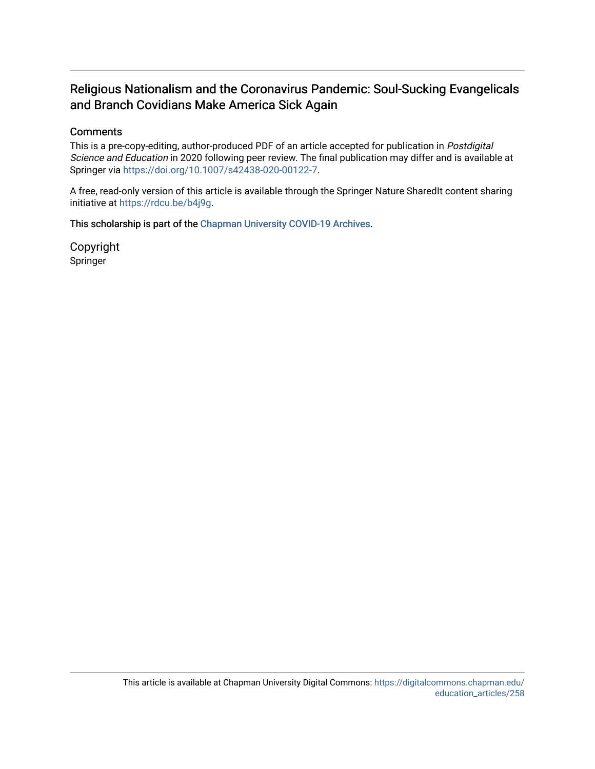### Religious Nationalism and the Coronavirus Pandemic: Soul-Sucking Evangelicals and Branch Covidians Make America Sick Again

#### **Comments**

This is a pre-copy-editing, author-produced PDF of an article accepted for publication in Postdigital Science and Education in 2020 following peer review. The final publication may differ and is available at Springer via [https://doi.org/10.1007/s42438-020-00122-7.](https://doi.org/10.1007/s42438-020-00122-7)

A free, read-only version of this article is available through the Springer Nature SharedIt content sharing initiative at <https://rdcu.be/b4j9g>.

This scholarship is part of the [Chapman University COVID-19 Archives](https://digitalcommons.chapman.edu/covid-19_archives/).

Copyright Springer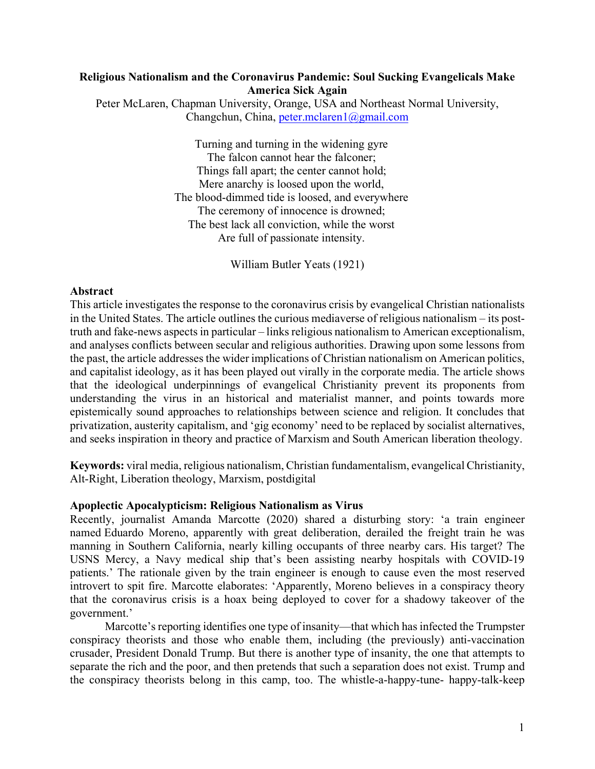#### **Religious Nationalism and the Coronavirus Pandemic: Soul Sucking Evangelicals Make America Sick Again**

Peter McLaren, Chapman University, Orange, USA and Northeast Normal University, Changchun, China, [peter.mclaren1@gmail.com](mailto:peter.mclaren1@gmail.com)

> Turning and turning in the widening gyre The falcon cannot hear the falconer; Things fall apart; the center cannot hold; Mere anarchy is loosed upon the world, The blood-dimmed tide is loosed, and everywhere The ceremony of innocence is drowned; The best lack all conviction, while the worst Are full of passionate intensity.

> > William Butler Yeats (1921)

#### **Abstract**

This article investigates the response to the coronavirus crisis by evangelical Christian nationalists in the United States. The article outlines the curious mediaverse of religious nationalism – its posttruth and fake-news aspects in particular – links religious nationalism to American exceptionalism, and analyses conflicts between secular and religious authorities. Drawing upon some lessons from the past, the article addresses the wider implications of Christian nationalism on American politics, and capitalist ideology, as it has been played out virally in the corporate media. The article shows that the ideological underpinnings of evangelical Christianity prevent its proponents from understanding the virus in an historical and materialist manner, and points towards more epistemically sound approaches to relationships between science and religion. It concludes that privatization, austerity capitalism, and 'gig economy' need to be replaced by socialist alternatives, and seeks inspiration in theory and practice of Marxism and South American liberation theology.

**Keywords:** viral media, religious nationalism, Christian fundamentalism, evangelical Christianity, Alt-Right, Liberation theology, Marxism, postdigital

#### **Apoplectic Apocalypticism: Religious Nationalism as Virus**

Recently, journalist Amanda Marcotte (2020) shared a disturbing story: 'a train engineer named Eduardo Moreno, apparently with great deliberation, derailed the freight train he was manning in Southern California, nearly killing occupants of three nearby cars. His target? The USNS Mercy, a Navy medical ship that's been assisting nearby hospitals with COVID-19 patients.' The rationale given by the train engineer is enough to cause even the most reserved introvert to spit fire. Marcotte elaborates: 'Apparently, Moreno believes in a conspiracy theory that the coronavirus crisis is a hoax being deployed to cover for a shadowy takeover of the government.'

Marcotte's reporting identifies one type of insanity—that which has infected the Trumpster conspiracy theorists and those who enable them, including (the previously) anti-vaccination crusader, President Donald Trump. But there is another type of insanity, the one that attempts to separate the rich and the poor, and then pretends that such a separation does not exist. Trump and the conspiracy theorists belong in this camp, too. The whistle-a-happy-tune- happy-talk-keep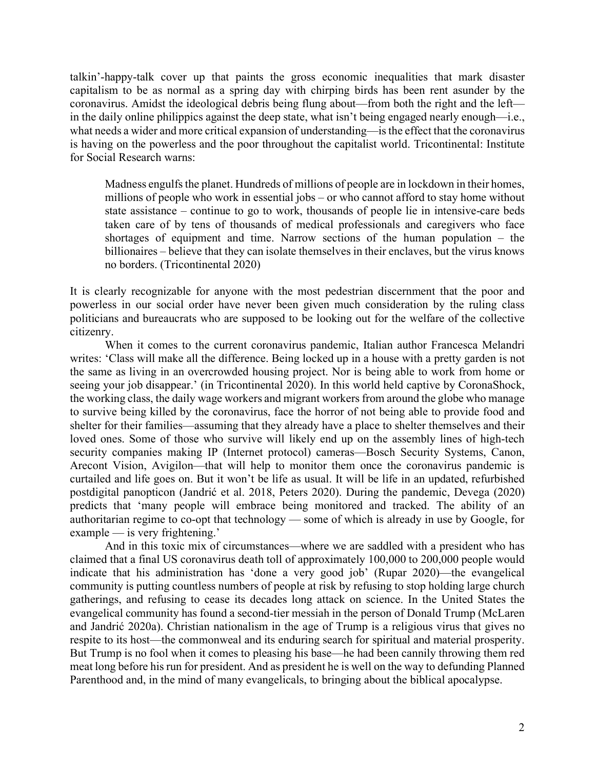talkin'-happy-talk cover up that paints the gross economic inequalities that mark disaster capitalism to be as normal as a spring day with chirping birds has been rent asunder by the coronavirus. Amidst the ideological debris being flung about—from both the right and the left in the daily online philippics against the deep state, what isn't being engaged nearly enough—i.e., what needs a wider and more critical expansion of understanding—is the effect that the coronavirus is having on the powerless and the poor throughout the capitalist world. Tricontinental: Institute for Social Research warns:

Madness engulfs the planet. Hundreds of millions of people are in lockdown in their homes, millions of people who work in essential jobs – or who cannot afford to stay home without state assistance – continue to go to work, thousands of people lie in intensive-care beds taken care of by tens of thousands of medical professionals and caregivers who face shortages of equipment and time. Narrow sections of the human population – the billionaires – believe that they can isolate themselves in their enclaves, but the virus knows no borders. (Tricontinental 2020)

It is clearly recognizable for anyone with the most pedestrian discernment that the poor and powerless in our social order have never been given much consideration by the ruling class politicians and bureaucrats who are supposed to be looking out for the welfare of the collective citizenry.

When it comes to the current coronavirus pandemic, Italian author Francesca Melandri writes: 'Class will make all the difference. Being locked up in a house with a pretty garden is not the same as living in an overcrowded housing project. Nor is being able to work from home or seeing your job disappear.' (in Tricontinental 2020). In this world held captive by CoronaShock, the working class, the daily wage workers and migrant workers from around the globe who manage to survive being killed by the coronavirus, face the horror of not being able to provide food and shelter for their families—assuming that they already have a place to shelter themselves and their loved ones. Some of those who survive will likely end up on the assembly lines of high-tech security companies making IP (Internet protocol) cameras—Bosch Security Systems, Canon, Arecont Vision, Avigilon—that will help to monitor them once the coronavirus pandemic is curtailed and life goes on. But it won't be life as usual. It will be life in an updated, refurbished postdigital panopticon (Jandrić et al. 2018, Peters 2020). During the pandemic, Devega (2020) predicts that 'many people will embrace being monitored and tracked. The ability of an authoritarian regime to co-opt that technology — some of which is already in use by Google, for example — is very frightening.'

And in this toxic mix of circumstances—where we are saddled with a president who has claimed that a final US coronavirus death toll of approximately 100,000 to 200,000 people would indicate that his administration has 'done a very good job' (Rupar 2020)—the evangelical community is putting countless numbers of people at risk by refusing to stop holding large church gatherings, and refusing to cease its decades long attack on science. In the United States the evangelical community has found a second-tier messiah in the person of Donald Trump (McLaren and Jandrić 2020a). Christian nationalism in the age of Trump is a religious virus that gives no respite to its host—the commonweal and its enduring search for spiritual and material prosperity. But Trump is no fool when it comes to pleasing his base—he had been cannily throwing them red meat long before his run for president. And as president he is well on the way to defunding Planned Parenthood and, in the mind of many evangelicals, to bringing about the biblical apocalypse.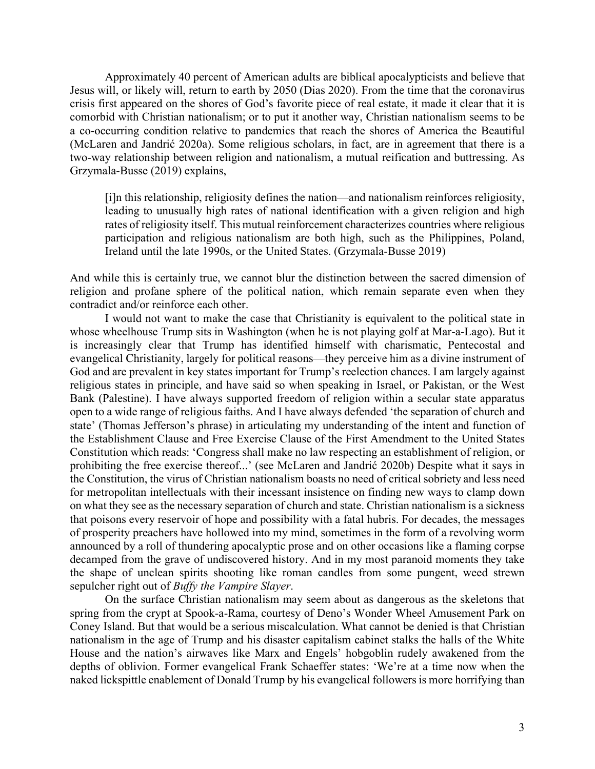Approximately 40 percent of American adults are biblical apocalypticists and believe that Jesus will, or likely will, return to earth by 2050 (Dias 2020). From the time that the coronavirus crisis first appeared on the shores of God's favorite piece of real estate, it made it clear that it is comorbid with Christian nationalism; or to put it another way, Christian nationalism seems to be a co-occurring condition relative to pandemics that reach the shores of America the Beautiful (McLaren and Jandrić 2020a). Some religious scholars, in fact, are in agreement that there is a two-way relationship between religion and nationalism, a mutual reification and buttressing. As Grzymala-Busse (2019) explains,

[i]n this relationship, religiosity defines the nation—and nationalism reinforces religiosity, leading to unusually high rates of national identification with a given religion and high rates of religiosity itself. This mutual reinforcement characterizes countries where religious participation and religious nationalism are both high, such as the Philippines, Poland, Ireland until the late 1990s, or the United States. (Grzymala-Busse 2019)

And while this is certainly true, we cannot blur the distinction between the sacred dimension of religion and profane sphere of the political nation, which remain separate even when they contradict and/or reinforce each other.

I would not want to make the case that Christianity is equivalent to the political state in whose wheelhouse Trump sits in Washington (when he is not playing golf at Mar-a-Lago). But it is increasingly clear that Trump has identified himself with charismatic, Pentecostal and evangelical Christianity, largely for political reasons—they perceive him as a divine instrument of God and are prevalent in key states important for Trump's reelection chances. I am largely against religious states in principle, and have said so when speaking in Israel, or Pakistan, or the West Bank (Palestine). I have always supported freedom of religion within a secular state apparatus open to a wide range of religious faiths. And I have always defended 'the separation of church and state' (Thomas Jefferson's phrase) in articulating my understanding of the intent and function of the Establishment Clause and Free Exercise Clause of the First Amendment to the United States Constitution which reads: 'Congress shall make no law respecting an establishment of religion, or prohibiting the free exercise thereof...' (see McLaren and Jandrić 2020b) Despite what it says in the Constitution, the virus of Christian nationalism boasts no need of critical sobriety and less need for metropolitan intellectuals with their incessant insistence on finding new ways to clamp down on what they see as the necessary separation of church and state. Christian nationalism is a sickness that poisons every reservoir of hope and possibility with a fatal hubris. For decades, the messages of prosperity preachers have hollowed into my mind, sometimes in the form of a revolving worm announced by a roll of thundering apocalyptic prose and on other occasions like a flaming corpse decamped from the grave of undiscovered history. And in my most paranoid moments they take the shape of unclean spirits shooting like roman candles from some pungent, weed strewn sepulcher right out of *Buffy the Vampire Slayer*.

On the surface Christian nationalism may seem about as dangerous as the skeletons that spring from the crypt at Spook-a-Rama, courtesy of Deno's Wonder Wheel Amusement Park on Coney Island. But that would be a serious miscalculation. What cannot be denied is that Christian nationalism in the age of Trump and his disaster capitalism cabinet stalks the halls of the White House and the nation's airwaves like Marx and Engels' hobgoblin rudely awakened from the depths of oblivion. Former evangelical Frank Schaeffer states: 'We're at a time now when the naked lickspittle enablement of Donald Trump by his evangelical followers is more horrifying than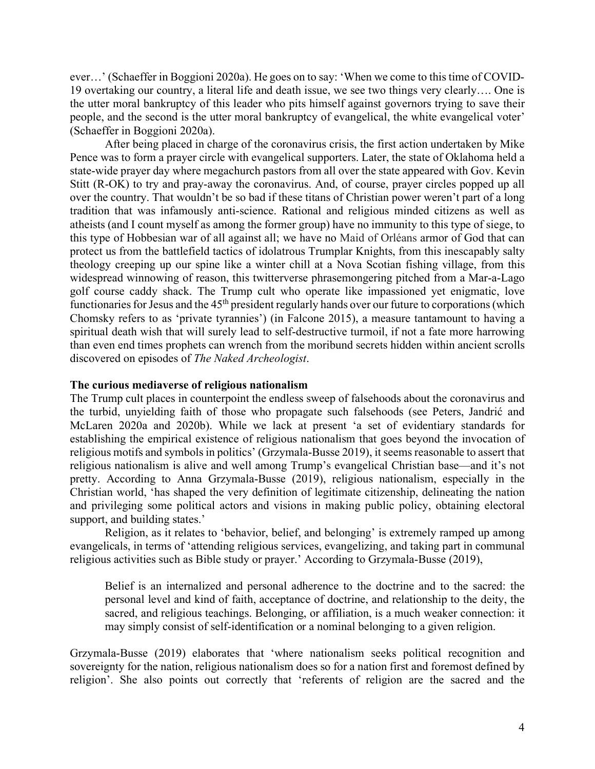ever…' (Schaeffer in Boggioni 2020a). He goes on to say: 'When we come to this time of COVID-19 overtaking our country, a literal life and death issue, we see two things very clearly…. One is the utter moral bankruptcy of this leader who pits himself against governors trying to save their people, and the second is the utter moral bankruptcy of evangelical, the white evangelical voter' (Schaeffer in Boggioni 2020a).

After being placed in charge of the coronavirus crisis, the first action undertaken by Mike Pence was to form a prayer circle with evangelical supporters. Later, the state of Oklahoma held a state-wide prayer day where megachurch pastors from all over the state appeared with Gov. Kevin Stitt (R-OK) to try and pray-away the coronavirus. And, of course, prayer circles popped up all over the country. That wouldn't be so bad if these titans of Christian power weren't part of a long tradition that was infamously anti-science. Rational and religious minded citizens as well as atheists (and I count myself as among the former group) have no immunity to this type of siege, to this type of Hobbesian war of all against all; we have no Maid of Orléans armor of God that can protect us from the battlefield tactics of idolatrous Trumplar Knights, from this inescapably salty theology creeping up our spine like a winter chill at a Nova Scotian fishing village, from this widespread winnowing of reason, this twitterverse phrasemongering pitched from a Mar-a-Lago golf course caddy shack. The Trump cult who operate like impassioned yet enigmatic, love functionaries for Jesus and the 45<sup>th</sup> president regularly hands over our future to corporations (which Chomsky refers to as 'private tyrannies') (in Falcone 2015), a measure tantamount to having a spiritual death wish that will surely lead to self-destructive turmoil, if not a fate more harrowing than even end times prophets can wrench from the moribund secrets hidden within ancient scrolls discovered on episodes of *The Naked Archeologist*.

#### **The curious mediaverse of religious nationalism**

The Trump cult places in counterpoint the endless sweep of falsehoods about the coronavirus and the turbid, unyielding faith of those who propagate such falsehoods (see Peters, Jandrić and McLaren 2020a and 2020b). While we lack at present 'a set of evidentiary standards for establishing the empirical existence of religious nationalism that goes beyond the invocation of religious motifs and symbols in politics' (Grzymala-Busse 2019), it seems reasonable to assert that religious nationalism is alive and well among Trump's evangelical Christian base—and it's not pretty. According to Anna Grzymala-Busse (2019), religious nationalism, especially in the Christian world, 'has shaped the very definition of legitimate citizenship, delineating the nation and privileging some political actors and visions in making public policy, obtaining electoral support, and building states.'

Religion, as it relates to 'behavior, belief, and belonging' is extremely ramped up among evangelicals, in terms of 'attending religious services, evangelizing, and taking part in communal religious activities such as Bible study or prayer.' According to Grzymala-Busse (2019),

Belief is an internalized and personal adherence to the doctrine and to the sacred: the personal level and kind of faith, acceptance of doctrine, and relationship to the deity, the sacred, and religious teachings. Belonging, or affiliation, is a much weaker connection: it may simply consist of self-identification or a nominal belonging to a given religion.

Grzymala-Busse (2019) elaborates that 'where nationalism seeks political recognition and sovereignty for the nation, religious nationalism does so for a nation first and foremost defined by religion'. She also points out correctly that 'referents of religion are the sacred and the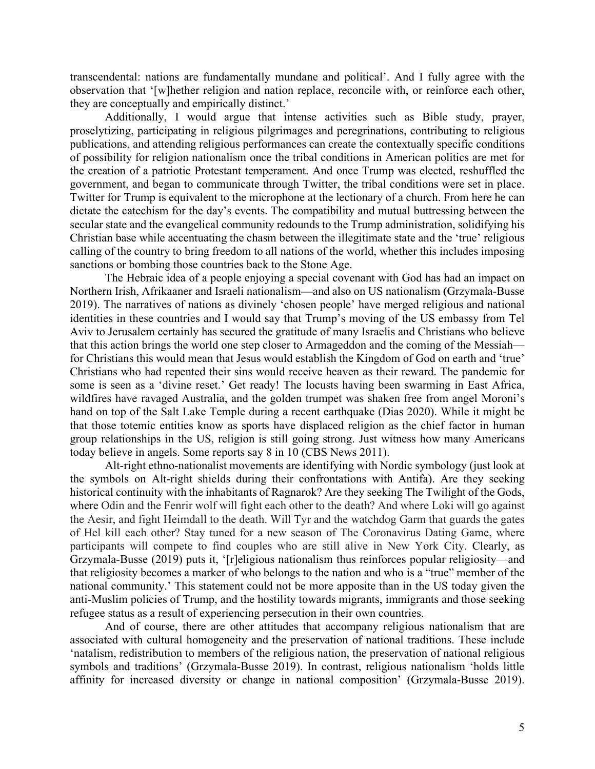transcendental: nations are fundamentally mundane and political'. And I fully agree with the observation that '[w]hether religion and nation replace, reconcile with, or reinforce each other, they are conceptually and empirically distinct.'

Additionally, I would argue that intense activities such as Bible study, prayer, proselytizing, participating in religious pilgrimages and peregrinations, contributing to religious publications, and attending religious performances can create the contextually specific conditions of possibility for religion nationalism once the tribal conditions in American politics are met for the creation of a patriotic Protestant temperament. And once Trump was elected, reshuffled the government, and began to communicate through Twitter, the tribal conditions were set in place. Twitter for Trump is equivalent to the microphone at the lectionary of a church. From here he can dictate the catechism for the day's events. The compatibility and mutual buttressing between the secular state and the evangelical community redounds to the Trump administration, solidifying his Christian base while accentuating the chasm between the illegitimate state and the 'true' religious calling of the country to bring freedom to all nations of the world, whether this includes imposing sanctions or bombing those countries back to the Stone Age.

The Hebraic idea of a people enjoying a special covenant with God has had an impact on Northern Irish, Afrikaaner and Israeli nationalism**—**and also on US nationalism **(**Grzymala-Busse 2019). The narratives of nations as divinely 'chosen people' have merged religious and national identities in these countries and I would say that Trump's moving of the US embassy from Tel Aviv to Jerusalem certainly has secured the gratitude of many Israelis and Christians who believe that this action brings the world one step closer to Armageddon and the coming of the Messiah for Christians this would mean that Jesus would establish the Kingdom of God on earth and 'true' Christians who had repented their sins would receive heaven as their reward. The pandemic for some is seen as a 'divine reset.' Get ready! The locusts having been swarming in East Africa, wildfires have ravaged Australia, and the golden trumpet was shaken free from angel Moroni's hand on top of the Salt Lake Temple during a recent earthquake (Dias 2020). While it might be that those totemic entities know as sports have displaced religion as the chief factor in human group relationships in the US, religion is still going strong. Just witness how many Americans today believe in angels. Some reports say 8 in 10 (CBS News 2011).

Alt-right ethno-nationalist movements are identifying with Nordic symbology (just look at the symbols on Alt-right shields during their confrontations with Antifa). Are they seeking historical continuity with the inhabitants of Ragnarok? Are they seeking The Twilight of the Gods, where Odin and the Fenrir wolf will fight each other to the death? And where Loki will go against the Aesir, and fight Heimdall to the death. Will Tyr and the watchdog Garm that guards the gates of Hel kill each other? Stay tuned for a new season of The Coronavirus Dating Game, where participants will compete to find couples who are still alive in New York City. Clearly, as Grzymala-Busse (2019) puts it, '[r]eligious nationalism thus reinforces popular religiosity—and that religiosity becomes a marker of who belongs to the nation and who is a "true" member of the national community.' This statement could not be more apposite than in the US today given the anti-Muslim policies of Trump, and the hostility towards migrants, immigrants and those seeking refugee status as a result of experiencing persecution in their own countries.

And of course, there are other attitudes that accompany religious nationalism that are associated with cultural homogeneity and the preservation of national traditions. These include 'natalism, redistribution to members of the religious nation, the preservation of national religious symbols and traditions' (Grzymala-Busse 2019). In contrast, religious nationalism 'holds little affinity for increased diversity or change in national composition' (Grzymala-Busse 2019).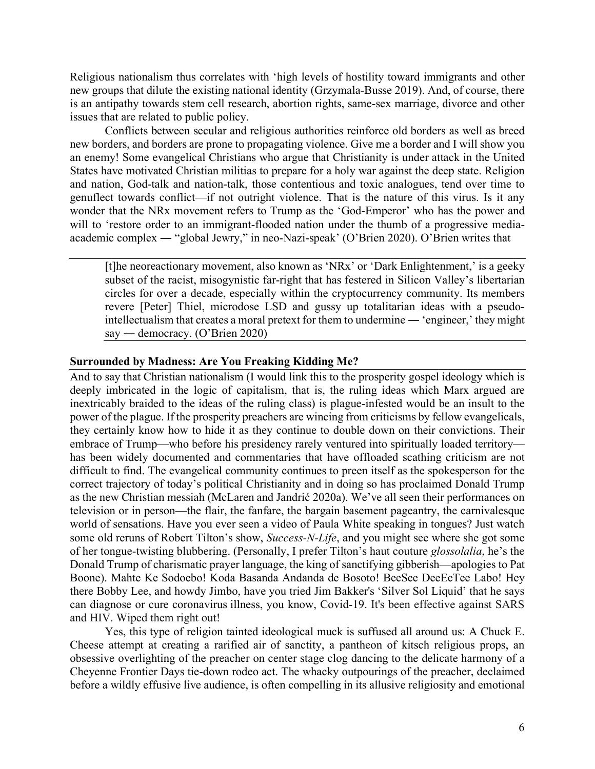Religious nationalism thus correlates with 'high levels of hostility toward immigrants and other new groups that dilute the existing national identity (Grzymala-Busse 2019). And, of course, there is an antipathy towards stem cell research, abortion rights, same-sex marriage, divorce and other issues that are related to public policy.

Conflicts between secular and religious authorities reinforce old borders as well as breed new borders, and borders are prone to propagating violence. Give me a border and I will show you an enemy! Some evangelical Christians who argue that Christianity is under attack in the United States have motivated Christian militias to prepare for a holy war against the deep state. Religion and nation, God-talk and nation-talk, those contentious and toxic analogues, tend over time to genuflect towards conflict—if not outright violence. That is the nature of this virus. Is it any wonder that the NRx movement refers to Trump as the 'God-Emperor' who has the power and will to 'restore order to an immigrant-flooded nation under the thumb of a progressive mediaacademic complex ― "global Jewry," in neo-Nazi-speak' (O'Brien 2020). O'Brien writes that

[t]he neoreactionary movement, also known as 'NRx' or 'Dark Enlightenment,' is a geeky subset of the racist, misogynistic far-right that has festered in Silicon Valley's libertarian circles for over a decade, especially within the cryptocurrency community. Its members revere [Peter] Thiel, microdose LSD and gussy up totalitarian ideas with a pseudointellectualism that creates a moral pretext for them to undermine ― 'engineer,' they might say ― democracy. (O'Brien 2020)

#### **Surrounded by Madness: Are You Freaking Kidding Me?**

And to say that Christian nationalism (I would link this to the prosperity gospel ideology which is deeply imbricated in the logic of capitalism, that is, the ruling ideas which Marx argued are inextricably braided to the ideas of the ruling class) is plague-infested would be an insult to the power of the plague. If the prosperity preachers are wincing from criticisms by fellow evangelicals, they certainly know how to hide it as they continue to double down on their convictions. Their embrace of Trump—who before his presidency rarely ventured into spiritually loaded territory has been widely documented and commentaries that have offloaded scathing criticism are not difficult to find. The evangelical community continues to preen itself as the spokesperson for the correct trajectory of today's political Christianity and in doing so has proclaimed Donald Trump as the new Christian messiah (McLaren and Jandrić 2020a). We've all seen their performances on television or in person—the flair, the fanfare, the bargain basement pageantry, the carnivalesque world of sensations. Have you ever seen a video of Paula White speaking in tongues? Just watch some old reruns of Robert Tilton's show, *Success-N-Life*, and you might see where she got some of her tongue-twisting blubbering. (Personally, I prefer Tilton's haut couture *glossolalia*, he's the Donald Trump of charismatic prayer language, the king of sanctifying gibberish—apologies to Pat Boone). Mahte Ke Sodoebo! Koda Basanda Andanda de Bosoto! BeeSee DeeEeTee Labo! Hey there Bobby Lee, and howdy Jimbo, have you tried Jim Bakker's 'Silver Sol Liquid' that he says can diagnose or cure coronavirus illness, you know, Covid-19. It's been effective against SARS and HIV. Wiped them right out!

Yes, this type of religion tainted ideological muck is suffused all around us: A Chuck E. Cheese attempt at creating a rarified air of sanctity, a pantheon of kitsch religious props, an obsessive overlighting of the preacher on center stage clog dancing to the delicate harmony of a Cheyenne Frontier Days tie-down rodeo act. The whacky outpourings of the preacher, declaimed before a wildly effusive live audience, is often compelling in its allusive religiosity and emotional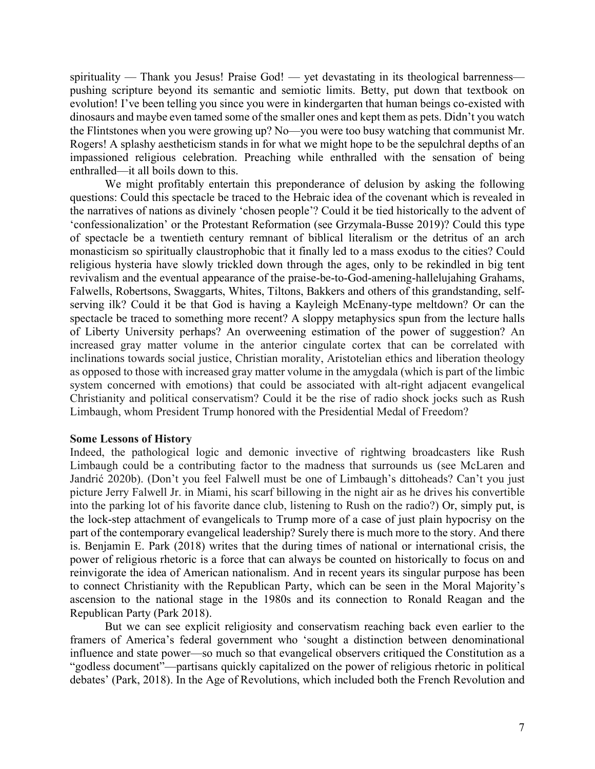spirituality — Thank you Jesus! Praise God! — yet devastating in its theological barrenness pushing scripture beyond its semantic and semiotic limits. Betty, put down that textbook on evolution! I've been telling you since you were in kindergarten that human beings co-existed with dinosaurs and maybe even tamed some of the smaller ones and kept them as pets. Didn't you watch the Flintstones when you were growing up? No—you were too busy watching that communist Mr. Rogers! A splashy aestheticism stands in for what we might hope to be the sepulchral depths of an impassioned religious celebration. Preaching while enthralled with the sensation of being enthralled—it all boils down to this.

We might profitably entertain this preponderance of delusion by asking the following questions: Could this spectacle be traced to the Hebraic idea of the covenant which is revealed in the narratives of nations as divinely 'chosen people'? Could it be tied historically to the advent of 'confessionalization' or the Protestant Reformation (see Grzymala-Busse 2019)? Could this type of spectacle be a twentieth century remnant of biblical literalism or the detritus of an arch monasticism so spiritually claustrophobic that it finally led to a mass exodus to the cities? Could religious hysteria have slowly trickled down through the ages, only to be rekindled in big tent revivalism and the eventual appearance of the praise-be-to-God-amening-hallelujahing Grahams, Falwells, Robertsons, Swaggarts, Whites, Tiltons, Bakkers and others of this grandstanding, selfserving ilk? Could it be that God is having a Kayleigh McEnany-type meltdown? Or can the spectacle be traced to something more recent? A sloppy metaphysics spun from the lecture halls of Liberty University perhaps? An overweening estimation of the power of suggestion? An increased gray matter volume in the anterior cingulate cortex that can be correlated with inclinations towards social justice, Christian morality, Aristotelian ethics and liberation theology as opposed to those with increased gray matter volume in the amygdala (which is part of the limbic system concerned with emotions) that could be associated with alt-right adjacent evangelical Christianity and political conservatism? Could it be the rise of radio shock jocks such as Rush Limbaugh, whom President Trump honored with the Presidential Medal of Freedom?

#### **Some Lessons of History**

Indeed, the pathological logic and demonic invective of rightwing broadcasters like Rush Limbaugh could be a contributing factor to the madness that surrounds us (see McLaren and Jandrić 2020b). (Don't you feel Falwell must be one of Limbaugh's dittoheads? Can't you just picture Jerry Falwell Jr. in Miami, his scarf billowing in the night air as he drives his convertible into the parking lot of his favorite dance club, listening to Rush on the radio?) Or, simply put, is the lock-step attachment of evangelicals to Trump more of a case of just plain hypocrisy on the part of the contemporary evangelical leadership? Surely there is much more to the story. And there is. Benjamin E. Park (2018) writes that the during times of national or international crisis, the power of religious rhetoric is a force that can always be counted on historically to focus on and reinvigorate the idea of American nationalism. And in recent years its singular purpose has been to connect Christianity with the Republican Party, which can be seen in the Moral Majority's ascension to the national stage in the 1980s and its connection to Ronald Reagan and the Republican Party (Park 2018).

But we can see explicit religiosity and conservatism reaching back even earlier to the framers of America's federal government who 'sought a distinction between denominational influence and state power—so much so that evangelical observers critiqued the Constitution as a "godless document"—partisans quickly capitalized on the power of religious rhetoric in political debates' (Park, 2018). In the Age of Revolutions, which included both the French Revolution and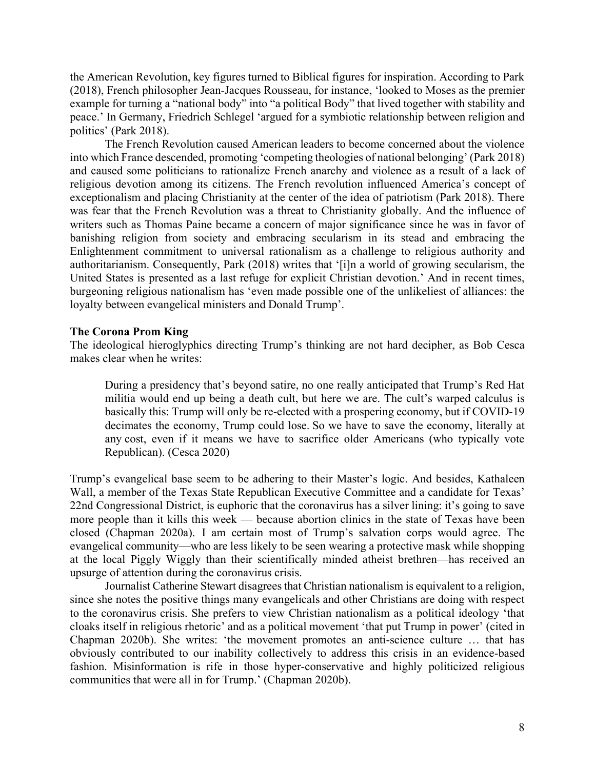the American Revolution, key figures turned to Biblical figures for inspiration. According to Park (2018), French philosopher Jean-Jacques Rousseau, for instance, 'looked to Moses as the premier example for turning a "national body" into "a political Body" that lived together with stability and peace.' In Germany, Friedrich Schlegel 'argued for a symbiotic relationship between religion and politics' (Park 2018).

The French Revolution caused American leaders to become concerned about the violence into which France descended, promoting 'competing theologies of national belonging' (Park 2018) and caused some politicians to rationalize French anarchy and violence as a result of a lack of religious devotion among its citizens. The French revolution influenced America's concept of exceptionalism and placing Christianity at the center of the idea of patriotism (Park 2018). There was fear that the French Revolution was a threat to Christianity globally. And the influence of writers such as Thomas Paine became a concern of major significance since he was in favor of banishing religion from society and embracing secularism in its stead and embracing the Enlightenment commitment to universal rationalism as a challenge to religious authority and authoritarianism. Consequently, Park (2018) writes that '[i]n a world of growing secularism, the United States is presented as a last refuge for explicit Christian devotion.' And in recent times, burgeoning religious nationalism has 'even made possible one of the unlikeliest of alliances: the loyalty between evangelical ministers and Donald Trump'.

#### **The Corona Prom King**

The ideological hieroglyphics directing Trump's thinking are not hard decipher, as Bob Cesca makes clear when he writes:

During a presidency that's beyond satire, no one really anticipated that Trump's Red Hat militia would end up being a death cult, but here we are. The cult's warped calculus is basically this: Trump will only be re-elected with a prospering economy, but if COVID-19 decimates the economy, Trump could lose. So we have to save the economy, literally at any cost, even if it means we have to sacrifice older Americans (who typically vote Republican). (Cesca 2020)

Trump's evangelical base seem to be adhering to their Master's logic. And besides, Kathaleen Wall, a member of the Texas State Republican Executive Committee and a candidate for Texas' 22nd Congressional District, is euphoric that the coronavirus has a silver lining: it's going to save more people than it kills this week — because abortion clinics in the state of Texas have been closed (Chapman 2020a). I am certain most of Trump's salvation corps would agree. The evangelical community—who are less likely to be seen wearing a protective mask while shopping at the local Piggly Wiggly than their scientifically minded atheist brethren—has received an upsurge of attention during the coronavirus crisis.

Journalist Catherine Stewart disagrees that Christian nationalism is equivalent to a religion, since she notes the positive things many evangelicals and other Christians are doing with respect to the coronavirus crisis. She prefers to view Christian nationalism as a political ideology 'that cloaks itself in religious rhetoric' and as a political movement 'that put Trump in power' (cited in Chapman 2020b). She writes: 'the movement promotes an anti-science culture … that has obviously contributed to our inability collectively to address this crisis in an evidence-based fashion. Misinformation is rife in those hyper-conservative and highly politicized religious communities that were all in for Trump.' (Chapman 2020b).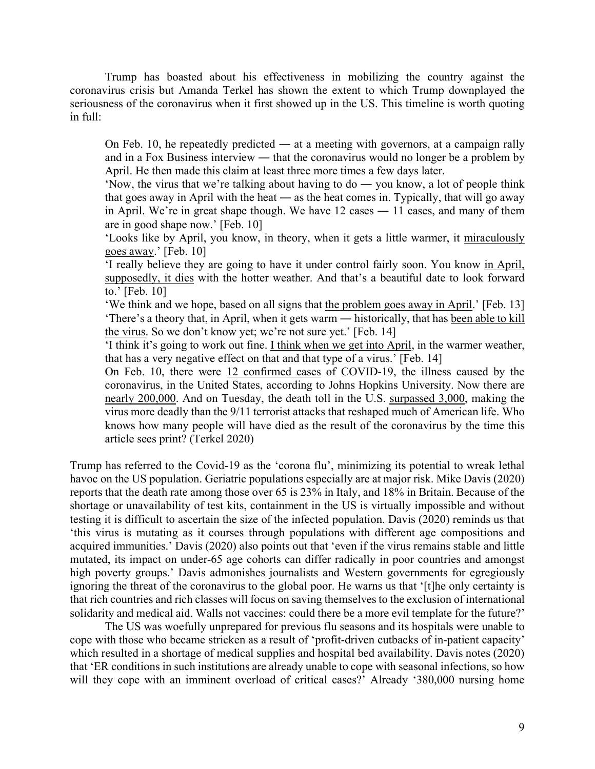Trump has boasted about his effectiveness in mobilizing the country against the coronavirus crisis but Amanda Terkel has shown the extent to which Trump downplayed the seriousness of the coronavirus when it first showed up in the US. This timeline is worth quoting in full:

On Feb. 10, he repeatedly predicted ― at a meeting with governors, at a campaign rally and in a Fox Business interview ― that the coronavirus would no longer be a problem by April. He then made this claim at least three more times a few days later.

'Now, the virus that we're talking about having to do ― you know, a lot of people think that goes away in April with the heat — as the heat comes in. Typically, that will go away in April. We're in great shape though. We have 12 cases ― 11 cases, and many of them are in good shape now.' [Feb. 10]

'Looks like by April, you know, in theory, when it gets a little warmer, it [miraculously](https://factba.se/transcript/donald-trump-speech-kag-rally-manchester-new-hampshire-february-10-2020)  [goes away.](https://factba.se/transcript/donald-trump-speech-kag-rally-manchester-new-hampshire-february-10-2020)' [Feb. 10]

'I really believe they are going to have it under control fairly soon. You know [in April,](https://factba.se/transcript/donald-trump-interview-trish-regan-fox-business-february-10-2020)  [supposedly, it dies](https://factba.se/transcript/donald-trump-interview-trish-regan-fox-business-february-10-2020) with the hotter weather. And that's a beautiful date to look forward to.' [Feb. 10]

'We think and we hope, based on all signs that [the problem goes away in April.](https://factba.se/transcript/donald-trump-interview-geraldo-rivera-february-13-2020)' [Feb. 13] 'There's a theory that, in April, when it gets warm ― historically, that has [been able to kill](https://factba.se/transcript/donald-trump-remarks-border-patrol-council-february-14-2020)  [the virus.](https://factba.se/transcript/donald-trump-remarks-border-patrol-council-february-14-2020) So we don't know yet; we're not sure yet.' [Feb. 14]

'I think it's going to work out fine. [I think when we get into April,](https://factba.se/transcript/donald-trump-interview-fox-10-phoenix-kari-lake-february-19-2020) in the warmer weather, that has a very negative effect on that and that type of a virus.' [Feb. 14]

On Feb. 10, there were [12 confirmed cases](https://coronavirus.jhu.edu/map.html) of COVID-19, the illness caused by the coronavirus, in the United States, according to Johns Hopkins University. Now there are [nearly 200,000.](https://coronavirus.jhu.edu/map.html) And on Tuesday, the death toll in the U.S. [surpassed 3,000,](https://www.washingtonpost.com/world/2020/03/31/coronavirus-latest-news/) making the virus more deadly than the 9/11 terrorist attacks that reshaped much of American life. Who knows how many people will have died as the result of the coronavirus by the time this article sees print? (Terkel 2020)

Trump has referred to the Covid-19 as the 'corona flu', minimizing its potential to wreak lethal havoc on the US population. Geriatric populations especially are at major risk. Mike Davis (2020) reports that the death rate among those over 65 is 23% in Italy, and 18% in Britain. Because of the shortage or unavailability of test kits, containment in the US is virtually impossible and without testing it is difficult to ascertain the size of the infected population. Davis (2020) reminds us that 'this virus is mutating as it courses through populations with different age compositions and acquired immunities.' Davis (2020) also points out that 'even if the virus remains stable and little mutated, its impact on under-65 age cohorts can differ radically in poor countries and amongst high poverty groups.' Davis admonishes journalists and Western governments for egregiously ignoring the threat of the coronavirus to the global poor. He warns us that '[t]he only certainty is that rich countries and rich classes will focus on saving themselves to the exclusion of international solidarity and medical aid. Walls not vaccines: could there be a more evil template for the future?'

The US was woefully unprepared for previous flu seasons and its hospitals were unable to cope with those who became stricken as a result of 'profit-driven cutbacks of in-patient capacity' which resulted in a shortage of medical supplies and hospital bed availability. Davis notes (2020) that 'ER conditions in such institutions are already unable to cope with seasonal infections, so how will they cope with an imminent overload of critical cases?' Already '380,000 nursing home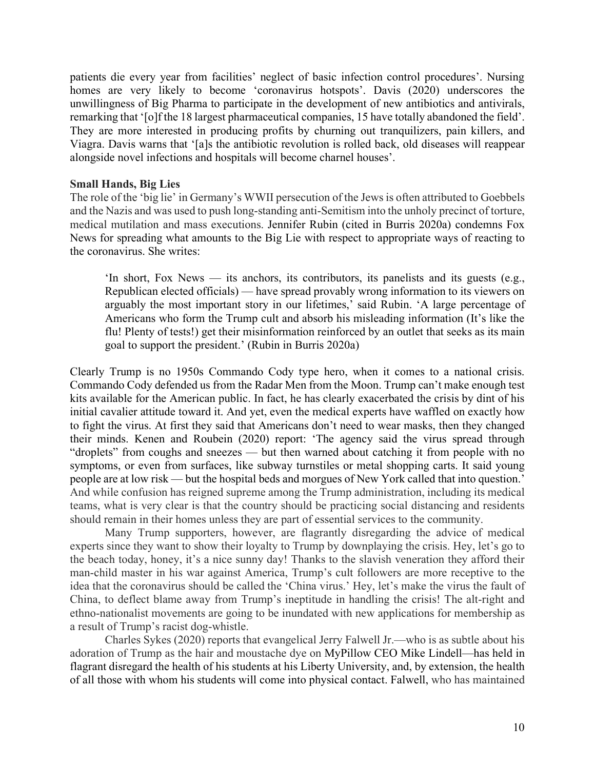patients die every year from facilities' neglect of basic infection control procedures'. Nursing homes are very likely to become 'coronavirus hotspots'. Davis (2020) underscores the unwillingness of Big Pharma to participate in the development of new antibiotics and antivirals, remarking that '[o]f the 18 largest pharmaceutical companies, 15 have totally abandoned the field'. They are more interested in producing profits by churning out tranquilizers, pain killers, and Viagra. Davis warns that '[a]s the antibiotic revolution is rolled back, old diseases will reappear alongside novel infections and hospitals will become charnel houses'.

#### **Small Hands, Big Lies**

The role of the 'big lie' in Germany's WWII persecution of the Jews is often attributed to Goebbels and the Nazis and was used to push long-standing anti-Semitism into the unholy precinct of torture, medical mutilation and mass executions. Jennifer Rubin (cited in Burris 2020a) condemns Fox News for spreading what amounts to the Big Lie with respect to appropriate ways of reacting to the coronavirus. She writes:

'In short, Fox News — its anchors, its contributors, its panelists and its guests (e.g., Republican elected officials) — have spread provably wrong information to its viewers on arguably the most important story in our lifetimes,' said Rubin. 'A large percentage of Americans who form the Trump cult and absorb his misleading information (It's like the flu! Plenty of tests!) get their misinformation reinforced by an outlet that seeks as its main goal to support the president.' (Rubin in Burris 2020a)

Clearly Trump is no 1950s Commando Cody type hero, when it comes to a national crisis. Commando Cody defended us from the Radar Men from the Moon. Trump can't make enough test kits available for the American public. In fact, he has clearly exacerbated the crisis by dint of his initial cavalier attitude toward it. And yet, even the medical experts have waffled on exactly how to fight the virus. At first they said that Americans don't need to wear masks, then they changed their minds. Kenen and Roubein (2020) report: 'The agency said the virus spread through "droplets" from coughs and sneezes — but then warned about catching it from people with no symptoms, or even from surfaces, like subway turnstiles or metal shopping carts. It said young people are at low risk — but the hospital beds and morgues of New York called that into question.' And while confusion has reigned supreme among the Trump administration, including its medical teams, what is very clear is that the country should be practicing social distancing and residents should remain in their homes unless they are part of essential services to the community.

Many Trump supporters, however, are flagrantly disregarding the advice of medical experts since they want to show their loyalty to Trump by downplaying the crisis. Hey, let's go to the beach today, honey, it's a nice sunny day! Thanks to the slavish veneration they afford their man-child master in his war against America, Trump's cult followers are more receptive to the idea that the coronavirus should be called the 'China virus.' Hey, let's make the virus the fault of China, to deflect blame away from Trump's ineptitude in handling the crisis! The alt-right and ethno-nationalist movements are going to be inundated with new applications for membership as a result of Trump's racist dog-whistle.

Charles Sykes (2020) reports that evangelical Jerry Falwell Jr.—who is as subtle about his adoration of Trump as the hair and moustache dye on MyPillow CEO Mike Lindell—has held in flagrant disregard the health of his students at his Liberty University, and, by extension, the health of all those with whom his students will come into physical contact. Falwell, who has maintained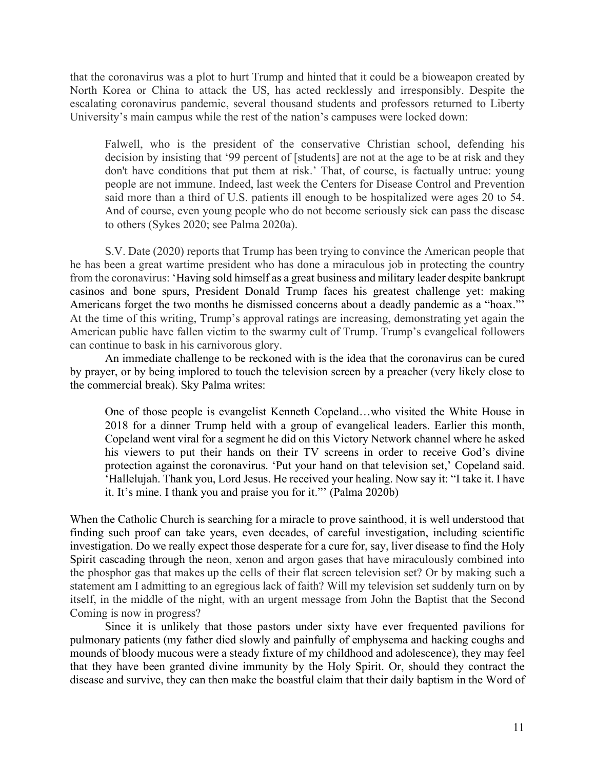that the coronavirus was a plot to hurt Trump and hinted that it could be a bioweapon created by North Korea or China to attack the US, has acted recklessly and irresponsibly. Despite the escalating coronavirus pandemic, several thousand students and professors returned to Liberty University's main campus while the rest of the nation's campuses were locked down:

Falwell, who is the president of the conservative Christian school, defending his decision by insisting that '99 percent of [students] are not at the age to be at risk and they don't have conditions that put them at risk.' That, of course, is factually untrue: young people are not immune. Indeed, last week the Centers for Disease Control and Prevention said more than a third of U.S. patients ill enough to be hospitalized were ages 20 to 54. And of course, even young people who do not become seriously sick can pass the disease to others (Sykes 2020; see Palma 2020a).

S.V. Date (2020) reports that Trump has been trying to convince the American people that he has been a great wartime president who has done a miraculous job in protecting the country from the coronavirus: 'Having sold himself as a great business and military leader despite bankrupt casinos and bone spurs, President Donald Trump faces his greatest challenge yet: making Americans forget the two months he dismissed concerns about a deadly pandemic as a "hoax."' At the time of this writing, Trump's approval ratings are increasing, demonstrating yet again the American public have fallen victim to the swarmy cult of Trump. Trump's evangelical followers can continue to bask in his carnivorous glory.

An immediate challenge to be reckoned with is the idea that the coronavirus can be cured by prayer, or by being implored to touch the television screen by a preacher (very likely close to the commercial break). Sky Palma writes:

One of those people is evangelist Kenneth Copeland…who visited the White House in 2018 for a dinner Trump held with a group of evangelical leaders. Earlier this month, Copeland went viral for a segment he did on this Victory Network channel where he asked his viewers to put their hands on their TV screens in order to receive God's divine protection against the coronavirus. 'Put your hand on that television set,' Copeland said. 'Hallelujah. Thank you, Lord Jesus. He received your healing. Now say it: "I take it. I have it. It's mine. I thank you and praise you for it."' (Palma 2020b)

When the Catholic Church is searching for a miracle to prove sainthood, it is well understood that finding such proof can take years, even decades, of careful investigation, including scientific investigation. Do we really expect those desperate for a cure for, say, liver disease to find the Holy Spirit cascading through the neon, xenon and argon gases that have miraculously combined into the phosphor gas that makes up the cells of their flat screen television set? Or by making such a statement am I admitting to an egregious lack of faith? Will my television set suddenly turn on by itself, in the middle of the night, with an urgent message from John the Baptist that the Second Coming is now in progress?

Since it is unlikely that those pastors under sixty have ever frequented pavilions for pulmonary patients (my father died slowly and painfully of emphysema and hacking coughs and mounds of bloody mucous were a steady fixture of my childhood and adolescence), they may feel that they have been granted divine immunity by the Holy Spirit. Or, should they contract the disease and survive, they can then make the boastful claim that their daily baptism in the Word of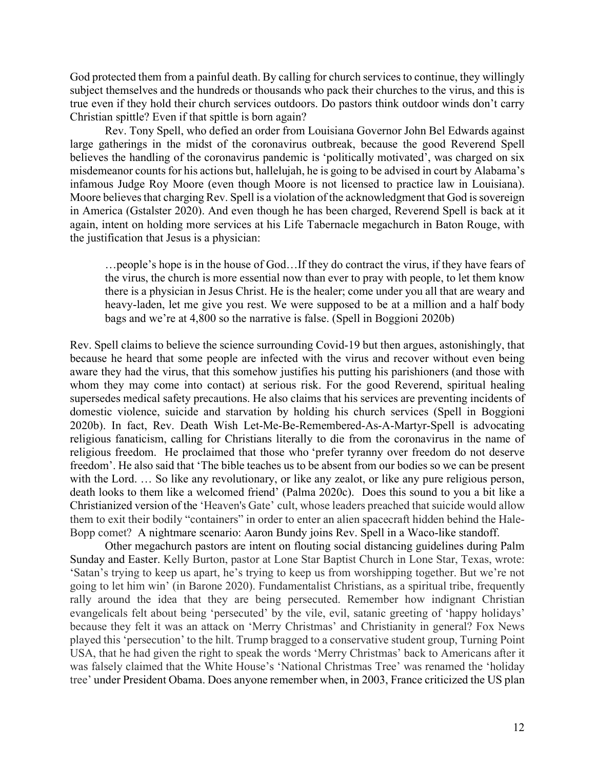God protected them from a painful death. By calling for church services to continue, they willingly subject themselves and the hundreds or thousands who pack their churches to the virus, and this is true even if they hold their church services outdoors. Do pastors think outdoor winds don't carry Christian spittle? Even if that spittle is born again?

Rev. Tony Spell, who defied an order from Louisiana Governor John Bel Edwards against large gatherings in the midst of the coronavirus outbreak, because the good Reverend Spell believes the handling of the coronavirus pandemic is 'politically motivated', was charged on six misdemeanor counts for his actions but, hallelujah, he is going to be advised in court by Alabama's infamous Judge Roy Moore (even though Moore is not licensed to practice law in Louisiana). Moore believes that charging Rev. Spell is a violation of the acknowledgment that God is sovereign in America (Gstalster 2020). And even though he has been charged, Reverend Spell is back at it again, intent on holding more services at his Life Tabernacle megachurch in Baton Rouge, with the justification that Jesus is a physician:

…people's hope is in the house of God…If they do contract the virus, if they have fears of the virus, the church is more essential now than ever to pray with people, to let them know there is a physician in Jesus Christ. He is the healer; come under you all that are weary and heavy-laden, let me give you rest. We were supposed to be at a million and a half body bags and we're at 4,800 so the narrative is false. (Spell in Boggioni 2020b)

Rev. Spell claims to believe the science surrounding Covid-19 but then argues, astonishingly, that because he heard that some people are infected with the virus and recover without even being aware they had the virus, that this somehow justifies his putting his parishioners (and those with whom they may come into contact) at serious risk. For the good Reverend, spiritual healing supersedes medical safety precautions. He also claims that his services are preventing incidents of domestic violence, suicide and starvation by holding his church services (Spell in Boggioni 2020b). In fact, Rev. Death Wish Let-Me-Be-Remembered-As-A-Martyr-Spell is advocating religious fanaticism, calling for Christians literally to die from the coronavirus in the name of religious freedom. He proclaimed that those who 'prefer tyranny over freedom do not deserve freedom'. He also said that 'The bible teaches us to be absent from our bodies so we can be present with the Lord. … So like any revolutionary, or like any zealot, or like any pure religious person, death looks to them like a welcomed friend' (Palma 2020c). Does this sound to you a bit like a Christianized version of the 'Heaven's Gate' cult, whose leaders preached that suicide would allow them to exit their bodily "containers" in order to enter an alien spacecraft hidden behind the Hale-Bopp comet? A nightmare scenario: Aaron Bundy joins Rev. Spell in a Waco-like standoff.

Other megachurch pastors are intent on flouting social distancing guidelines during Palm Sunday and Easter. Kelly Burton, pastor at Lone Star Baptist Church in Lone Star, Texas, wrote: 'Satan's trying to keep us apart, he's trying to keep us from worshipping together. But we're not going to let him win' (in Barone 2020). Fundamentalist Christians, as a spiritual tribe, frequently rally around the idea that they are being persecuted. Remember how indignant Christian evangelicals felt about being 'persecuted' by the vile, evil, satanic greeting of 'happy holidays' because they felt it was an attack on 'Merry Christmas' and Christianity in general? Fox News played this 'persecution' to the hilt. Trump bragged to a conservative student group, Turning Point USA, that he had given the right to speak the words 'Merry Christmas' back to Americans after it was falsely claimed that the White House's 'National Christmas Tree' was renamed the 'holiday tree' under President Obama. Does anyone remember when, in 2003, France criticized the US plan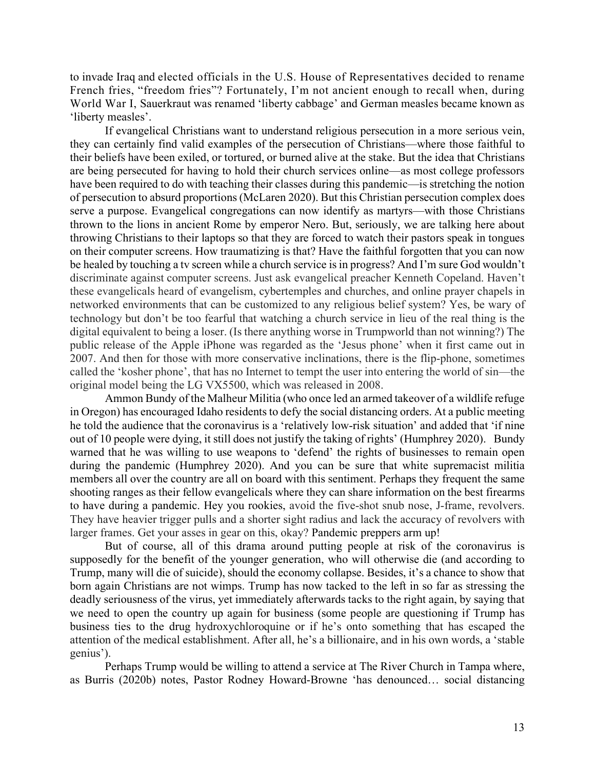to invade Iraq and elected officials in the U.S. House of Representatives decided to rename French fries, "freedom fries"? Fortunately, I'm not ancient enough to recall when, during World War I, Sauerkraut was renamed 'liberty cabbage' and German measles became known as 'liberty measles'.

If evangelical Christians want to understand religious persecution in a more serious vein, they can certainly find valid examples of the persecution of Christians—where those faithful to their beliefs have been exiled, or tortured, or burned alive at the stake. But the idea that Christians are being persecuted for having to hold their church services online—as most college professors have been required to do with teaching their classes during this pandemic—is stretching the notion of persecution to absurd proportions (McLaren 2020). But this Christian persecution complex does serve a purpose. Evangelical congregations can now identify as martyrs—with those Christians thrown to the lions in ancient Rome by emperor Nero. But, seriously, we are talking here about throwing Christians to their laptops so that they are forced to watch their pastors speak in tongues on their computer screens. How traumatizing is that? Have the faithful forgotten that you can now be healed by touching a tv screen while a church service is in progress? And I'm sure God wouldn't discriminate against computer screens. Just ask evangelical preacher Kenneth Copeland. Haven't these evangelicals heard of evangelism, cybertemples and churches, and online prayer chapels in networked environments that can be customized to any religious belief system? Yes, be wary of technology but don't be too fearful that watching a church service in lieu of the real thing is the digital equivalent to being a loser. (Is there anything worse in Trumpworld than not winning?) The public release of the Apple iPhone was regarded as the 'Jesus phone' when it first came out in 2007. And then for those with more conservative inclinations, there is the flip-phone, sometimes called the 'kosher phone', that has no Internet to tempt the user into entering the world of sin—the original model being the LG VX5500, which was released in 2008.

Ammon Bundy of the Malheur Militia (who once led an armed takeover of a wildlife refuge in Oregon) has encouraged Idaho residents to defy the social distancing orders. At a public meeting he told the audience that the coronavirus is a 'relatively low-risk situation' and added that 'if nine out of 10 people were dying, it still does not justify the taking of rights' (Humphrey 2020). Bundy warned that he was willing to use weapons to 'defend' the rights of businesses to remain open during the pandemic (Humphrey 2020). And you can be sure that white supremacist militia members all over the country are all on board with this sentiment. Perhaps they frequent the same shooting ranges as their fellow evangelicals where they can share information on the best firearms to have during a pandemic. Hey you rookies, avoid the five-shot snub nose, J-frame, revolvers. They have heavier trigger pulls and a shorter sight radius and lack the accuracy of revolvers with larger frames. Get your asses in gear on this, okay? Pandemic preppers arm up!

But of course, all of this drama around putting people at risk of the coronavirus is supposedly for the benefit of the younger generation, who will otherwise die (and according to Trump, many will die of suicide), should the economy collapse. Besides, it's a chance to show that born again Christians are not wimps. Trump has now tacked to the left in so far as stressing the deadly seriousness of the virus, yet immediately afterwards tacks to the right again, by saying that we need to open the country up again for business (some people are questioning if Trump has business ties to the drug hydroxychloroquine or if he's onto something that has escaped the attention of the medical establishment. After all, he's a billionaire, and in his own words, a 'stable genius').

Perhaps Trump would be willing to attend a service at The River Church in Tampa where, as Burris (2020b) notes, Pastor Rodney Howard-Browne 'has denounced… social distancing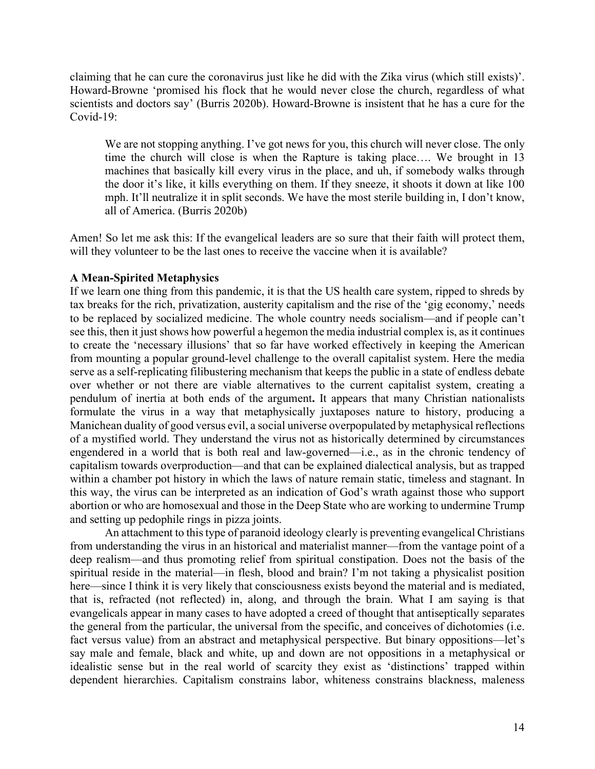claiming that he can cure the coronavirus just like he did with the Zika virus (which still exists)'. Howard-Browne 'promised his flock that he would never close the church, regardless of what scientists and doctors say' (Burris 2020b). Howard-Browne is insistent that he has a cure for the Covid-19:

We are not stopping anything. I've got news for you, this church will never close. The only time the church will close is when the Rapture is taking place…. We brought in 13 machines that basically kill every virus in the place, and uh, if somebody walks through the door it's like, it kills everything on them. If they sneeze, it shoots it down at like 100 mph. It'll neutralize it in split seconds. We have the most sterile building in, I don't know, all of America. (Burris 2020b)

Amen! So let me ask this: If the evangelical leaders are so sure that their faith will protect them, will they volunteer to be the last ones to receive the vaccine when it is available?

#### **A Mean-Spirited Metaphysics**

If we learn one thing from this pandemic, it is that the US health care system, ripped to shreds by tax breaks for the rich, privatization, austerity capitalism and the rise of the 'gig economy,' needs to be replaced by socialized medicine. The whole country needs socialism—and if people can't see this, then it just shows how powerful a hegemon the media industrial complex is, as it continues to create the 'necessary illusions' that so far have worked effectively in keeping the American from mounting a popular ground-level challenge to the overall capitalist system. Here the media serve as a self-replicating filibustering mechanism that keeps the public in a state of endless debate over whether or not there are viable alternatives to the current capitalist system, creating a pendulum of inertia at both ends of the argument**.** It appears that many Christian nationalists formulate the virus in a way that metaphysically juxtaposes nature to history, producing a Manichean duality of good versus evil, a social universe overpopulated by metaphysical reflections of a mystified world. They understand the virus not as historically determined by circumstances engendered in a world that is both real and law-governed—i.e., as in the chronic tendency of capitalism towards overproduction—and that can be explained dialectical analysis, but as trapped within a chamber pot history in which the laws of nature remain static, timeless and stagnant. In this way, the virus can be interpreted as an indication of God's wrath against those who support abortion or who are homosexual and those in the Deep State who are working to undermine Trump and setting up pedophile rings in pizza joints.

An attachment to this type of paranoid ideology clearly is preventing evangelical Christians from understanding the virus in an historical and materialist manner—from the vantage point of a deep realism—and thus promoting relief from spiritual constipation. Does not the basis of the spiritual reside in the material—in flesh, blood and brain? I'm not taking a physicalist position here—since I think it is very likely that consciousness exists beyond the material and is mediated, that is, refracted (not reflected) in, along, and through the brain. What I am saying is that evangelicals appear in many cases to have adopted a creed of thought that antiseptically separates the general from the particular, the universal from the specific, and conceives of dichotomies (i.e. fact versus value) from an abstract and metaphysical perspective. But binary oppositions—let's say male and female, black and white, up and down are not oppositions in a metaphysical or idealistic sense but in the real world of scarcity they exist as 'distinctions' trapped within dependent hierarchies. Capitalism constrains labor, whiteness constrains blackness, maleness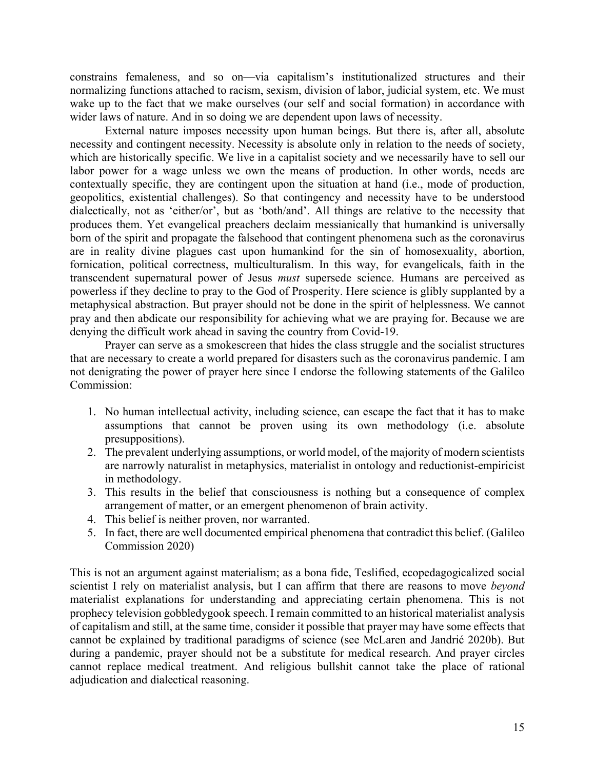constrains femaleness, and so on—via capitalism's institutionalized structures and their normalizing functions attached to racism, sexism, division of labor, judicial system, etc. We must wake up to the fact that we make ourselves (our self and social formation) in accordance with wider laws of nature. And in so doing we are dependent upon laws of necessity.

External nature imposes necessity upon human beings. But there is, after all, absolute necessity and contingent necessity. Necessity is absolute only in relation to the needs of society, which are historically specific. We live in a capitalist society and we necessarily have to sell our labor power for a wage unless we own the means of production. In other words, needs are contextually specific, they are contingent upon the situation at hand (i.e., mode of production, geopolitics, existential challenges). So that contingency and necessity have to be understood dialectically, not as 'either/or', but as 'both/and'. All things are relative to the necessity that produces them. Yet evangelical preachers declaim messianically that humankind is universally born of the spirit and propagate the falsehood that contingent phenomena such as the coronavirus are in reality divine plagues cast upon humankind for the sin of homosexuality, abortion, fornication, political correctness, multiculturalism. In this way, for evangelicals, faith in the transcendent supernatural power of Jesus *must* supersede science. Humans are perceived as powerless if they decline to pray to the God of Prosperity. Here science is glibly supplanted by a metaphysical abstraction. But prayer should not be done in the spirit of helplessness. We cannot pray and then abdicate our responsibility for achieving what we are praying for. Because we are denying the difficult work ahead in saving the country from Covid-19.

Prayer can serve as a smokescreen that hides the class struggle and the socialist structures that are necessary to create a world prepared for disasters such as the coronavirus pandemic. I am not denigrating the power of prayer here since I endorse the following statements of the Galileo Commission:

- 1. No human intellectual activity, including science, can escape the fact that it has to make assumptions that cannot be proven using its own methodology (i.e. absolute presuppositions).
- 2. The prevalent underlying assumptions, or world model, of the majority of modern scientists are narrowly naturalist in metaphysics, materialist in ontology and reductionist-empiricist in methodology.
- 3. This results in the belief that consciousness is nothing but a consequence of complex arrangement of matter, or an emergent phenomenon of brain activity.
- 4. This belief is neither proven, nor warranted.
- 5. In fact, there are well documented empirical phenomena that contradict this belief. (Galileo Commission 2020)

This is not an argument against materialism; as a bona fide, Teslified, ecopedagogicalized social scientist I rely on materialist analysis, but I can affirm that there are reasons to move *beyond* materialist explanations for understanding and appreciating certain phenomena. This is not prophecy television gobbledygook speech. I remain committed to an historical materialist analysis of capitalism and still, at the same time, consider it possible that prayer may have some effects that cannot be explained by traditional paradigms of science (see McLaren and Jandrić 2020b). But during a pandemic, prayer should not be a substitute for medical research. And prayer circles cannot replace medical treatment. And religious bullshit cannot take the place of rational adjudication and dialectical reasoning.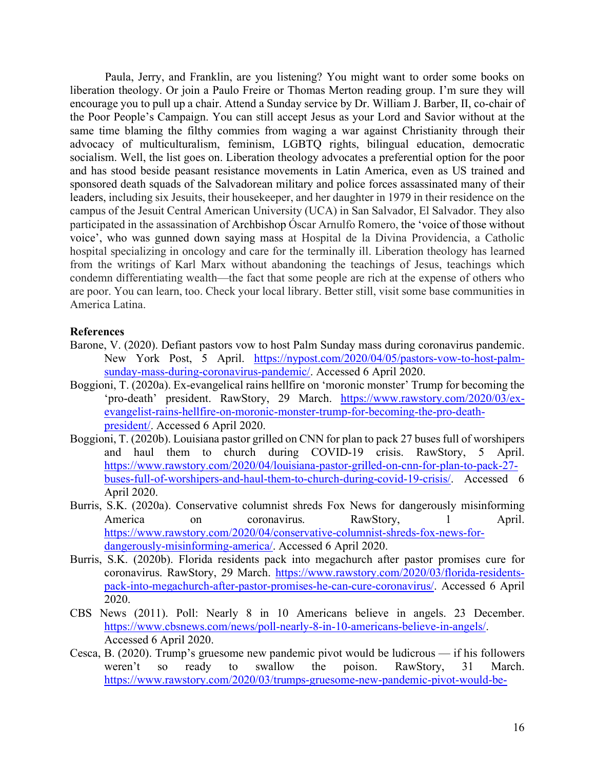Paula, Jerry, and Franklin, are you listening? You might want to order some books on liberation theology. Or join a Paulo Freire or Thomas Merton reading group. I'm sure they will encourage you to pull up a chair. Attend a Sunday service by Dr. William J. Barber, II, co-chair of the Poor People's Campaign. You can still accept Jesus as your Lord and Savior without at the same time blaming the filthy commies from waging a war against Christianity through their advocacy of multiculturalism, feminism, LGBTQ rights, bilingual education, democratic socialism. Well, the list goes on. Liberation theology advocates a preferential option for the poor and has stood beside peasant resistance movements in Latin America, even as US trained and sponsored death squads of the Salvadorean military and police forces assassinated many of their leaders, including six Jesuits, their housekeeper, and her daughter in 1979 in their residence on the campus of the Jesuit Central American University (UCA) in San Salvador, El Salvador. They also participated in the assassination of Archbishop Óscar Arnulfo Romero, the 'voice of those without voice', who was gunned down saying mass at Hospital de la Divina Providencia, a Catholic hospital specializing in oncology and care for the terminally ill. Liberation theology has learned from the writings of Karl Marx without abandoning the teachings of Jesus, teachings which condemn differentiating wealth—the fact that some people are rich at the expense of others who are poor. You can learn, too. Check your local library. Better still, visit some base communities in America Latina.

#### **References**

- Barone, V. (2020). Defiant pastors vow to host Palm Sunday mass during coronavirus pandemic. New York Post, 5 April. [https://nypost.com/2020/04/05/pastors-vow-to-host-palm](https://nypost.com/2020/04/05/pastors-vow-to-host-palm-sunday-mass-during-coronavirus-pandemic/)[sunday-mass-during-coronavirus-pandemic/.](https://nypost.com/2020/04/05/pastors-vow-to-host-palm-sunday-mass-during-coronavirus-pandemic/) Accessed 6 April 2020.
- Boggioni, T. (2020a). Ex-evangelical rains hellfire on 'moronic monster' Trump for becoming the 'pro-death' president. RawStory, 29 March. [https://www.rawstory.com/2020/03/ex](https://www.rawstory.com/2020/03/ex-evangelist-rains-hellfire-on-moronic-monster-trump-for-becoming-the-pro-death-president/)[evangelist-rains-hellfire-on-moronic-monster-trump-for-becoming-the-pro-death](https://www.rawstory.com/2020/03/ex-evangelist-rains-hellfire-on-moronic-monster-trump-for-becoming-the-pro-death-president/)[president/.](https://www.rawstory.com/2020/03/ex-evangelist-rains-hellfire-on-moronic-monster-trump-for-becoming-the-pro-death-president/) Accessed 6 April 2020.
- Boggioni, T. (2020b). Louisiana pastor grilled on CNN for plan to pack 27 buses full of worshipers and haul them to church during COVID-19 crisis. RawStory, 5 April. [https://www.rawstory.com/2020/04/louisiana-pastor-grilled-on-cnn-for-plan-to-pack-27](https://www.rawstory.com/2020/04/louisiana-pastor-grilled-on-cnn-for-plan-to-pack-27-buses-full-of-worshipers-and-haul-them-to-church-during-covid-19-crisis/) [buses-full-of-worshipers-and-haul-them-to-church-during-covid-19-crisis/.](https://www.rawstory.com/2020/04/louisiana-pastor-grilled-on-cnn-for-plan-to-pack-27-buses-full-of-worshipers-and-haul-them-to-church-during-covid-19-crisis/) Accessed 6 April 2020.
- Burris, S.K. (2020a). Conservative columnist shreds Fox News for dangerously misinforming America on coronavirus. RawStory, 1 April. [https://www.rawstory.com/2020/04/conservative-columnist-shreds-fox-news-for](https://www.rawstory.com/2020/04/conservative-columnist-shreds-fox-news-for-dangerously-misinforming-america/)[dangerously-misinforming-america/.](https://www.rawstory.com/2020/04/conservative-columnist-shreds-fox-news-for-dangerously-misinforming-america/) Accessed 6 April 2020.
- Burris, S.K. (2020b). Florida residents pack into megachurch after pastor promises cure for coronavirus. RawStory, 29 March. [https://www.rawstory.com/2020/03/florida-residents](https://www.rawstory.com/2020/03/florida-residents-pack-into-megachurch-after-pastor-promises-he-can-cure-coronavirus/)[pack-into-megachurch-after-pastor-promises-he-can-cure-coronavirus/.](https://www.rawstory.com/2020/03/florida-residents-pack-into-megachurch-after-pastor-promises-he-can-cure-coronavirus/) Accessed 6 April 2020.
- CBS News (2011). Poll: Nearly 8 in 10 Americans believe in angels. 23 December. [https://www.cbsnews.com/news/poll-nearly-](https://www.cbsnews.com/news/poll-nearly-8-in-10-americans-believe-in-angels/)8-in-10-americans-believe-in-angels/. Accessed 6 April 2020.
- Cesca, B. (2020). Trump's gruesome new pandemic pivot would be ludicrous if his followers weren't so ready to swallow the poison. RawStory, 31 March. [https://www.rawstory.com/2020/03/trumps-gruesome-new-pandemic-pivot-would-be-](https://www.rawstory.com/2020/03/trumps-gruesome-new-pandemic-pivot-would-be-ludicrous-if-his-followers-werent-so-ready-to-swallow-the-poison/)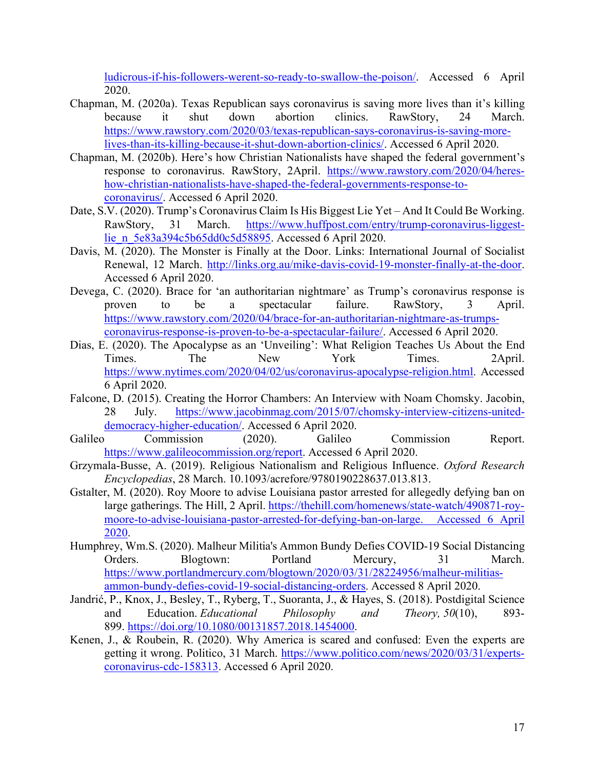[ludicrous-if-his-followers-werent-so-ready-to-swallow-the-poison/.](https://www.rawstory.com/2020/03/trumps-gruesome-new-pandemic-pivot-would-be-ludicrous-if-his-followers-werent-so-ready-to-swallow-the-poison/) Accessed 6 April 2020.

- Chapman, M. (2020a). Texas Republican says coronavirus is saving more lives than it's killing because it shut down abortion clinics. RawStory, 24 March. [https://www.rawstory.com/2020/03/texas-republican-says-coronavirus-is-saving-more](https://www.rawstory.com/2020/03/texas-republican-says-coronavirus-is-saving-more-lives-than-its-killing-because-it-shut-down-abortion-clinics/)[lives-than-its-killing-because-it-shut-down-abortion-clinics/.](https://www.rawstory.com/2020/03/texas-republican-says-coronavirus-is-saving-more-lives-than-its-killing-because-it-shut-down-abortion-clinics/) Accessed 6 April 2020.
- Chapman, M. (2020b). Here's how Christian Nationalists have shaped the federal government's response to coronavirus. RawStory, 2April. [https://www.rawstory.com/2020/04/heres](https://www.rawstory.com/2020/04/heres-how-christian-nationalists-have-shaped-the-federal-governments-response-to-coronavirus/)[how-christian-nationalists-have-shaped-the-federal-governments-response-to](https://www.rawstory.com/2020/04/heres-how-christian-nationalists-have-shaped-the-federal-governments-response-to-coronavirus/)[coronavirus/.](https://www.rawstory.com/2020/04/heres-how-christian-nationalists-have-shaped-the-federal-governments-response-to-coronavirus/) Accessed 6 April 2020.
- Date, S.V. (2020). Trump's Coronavirus Claim Is His Biggest Lie Yet And It Could Be Working. RawStory, 31 March. [https://www.huffpost.com/entry/trump-coronavirus-liggest](https://www.huffpost.com/entry/trump-coronavirus-liggest-lie_n_5e83a394c5b65dd0c5d58895)[lie\\_n\\_5e83a394c5b65dd0c5d58895](https://www.huffpost.com/entry/trump-coronavirus-liggest-lie_n_5e83a394c5b65dd0c5d58895). Accessed 6 April 2020.
- Davis, M. (2020). The Monster is Finally at the Door. Links: International Journal of Socialist Renewal, 12 March. [http://links.org.au/mike-davis-covid-19-monster-finally-at-the-door.](http://links.org.au/mike-davis-covid-19-monster-finally-at-the-door) Accessed 6 April 2020.
- Devega, C. (2020). Brace for 'an authoritarian nightmare' as Trump's coronavirus response is proven to be a spectacular failure. RawStory, 3 April. [https://www.rawstory.com/2020/04/brace-for-an-authoritarian-nightmare-as-trumps](https://www.rawstory.com/2020/04/brace-for-an-authoritarian-nightmare-as-trumps-coronavirus-response-is-proven-to-be-a-spectacular-failure/)[coronavirus-response-is-proven-to-be-a-spectacular-failure/.](https://www.rawstory.com/2020/04/brace-for-an-authoritarian-nightmare-as-trumps-coronavirus-response-is-proven-to-be-a-spectacular-failure/) Accessed 6 April 2020.
- Dias, E. (2020). The Apocalypse as an 'Unveiling': What Religion Teaches Us About the End Times. The New York Times. 2April. [https://www.nytimes.com/2020/04/02/us/coronavirus-apocalypse-religion.html.](https://www.nytimes.com/2020/04/02/us/coronavirus-apocalypse-religion.html) Accessed 6 April 2020.
- Falcone, D. (2015). Creating the Horror Chambers: An Interview with Noam Chomsky. Jacobin, 28 July. [https://www.jacobinmag.com/2015/07/chomsky-interview-citizens-united](https://www.jacobinmag.com/2015/07/chomsky-interview-citizens-united-democracy-higher-education/)[democracy-higher-education/.](https://www.jacobinmag.com/2015/07/chomsky-interview-citizens-united-democracy-higher-education/) Accessed 6 April 2020.
- Galileo Commission (2020). Galileo Commission Report. [https://www.galileocommission.org/report.](https://www.galileocommission.org/report) Accessed 6 April 2020.
- Grzymala-Busse, A. (2019). Religious Nationalism and Religious Influence. *Oxford Research Encyclopedias*, 28 March. 10.1093/acrefore/9780190228637.013.813.
- Gstalter, M. (2020). Roy Moore to advise Louisiana pastor arrested for allegedly defying ban on large gatherings. The Hill, 2 April. [https://thehill.com/homenews/state-](https://thehill.com/homenews/state-watch/490871-roy-moore-to-advise-louisiana-pastor-arrested-for-defying-ban-on-large.%20%20Accessed%206%20April%202020)watch/490871-roy[moore-to-advise-louisiana-pastor-arrested-for-defying-ban-on-large. Accessed 6 April](https://thehill.com/homenews/state-watch/490871-roy-moore-to-advise-louisiana-pastor-arrested-for-defying-ban-on-large.%20%20Accessed%206%20April%202020)  [2020.](https://thehill.com/homenews/state-watch/490871-roy-moore-to-advise-louisiana-pastor-arrested-for-defying-ban-on-large.%20%20Accessed%206%20April%202020)
- Humphrey, Wm.S. (2020). Malheur Militia's Ammon Bundy Defies COVID-19 Social Distancing Orders. Blogtown: Portland Mercury, 31 March. [https://www.portlandmercury.com/blogtown/2020/03/](https://www.portlandmercury.com/blogtown/2020/03/31/28224956/malheur-militias-ammon-bundy-defies-covid-19-social-distancing-orders)31/28224956/malheur-militias[ammon-bundy-defies-covid-19-social-distancing-orders](https://www.portlandmercury.com/blogtown/2020/03/31/28224956/malheur-militias-ammon-bundy-defies-covid-19-social-distancing-orders). Accessed 8 April 2020.
- Jandrić, P., Knox, J., Besley, T., Ryberg, T., Suoranta, J., & Hayes, S. (2018). Postdigital Science and Education. *Educational Philosophy and Theory, 50*(10), 893- 899. <https://doi.org/10.1080/00131857.2018.1454000>.
- Kenen, J., & Roubein, R. (2020). Why America is scared and confused: Even the experts are getting it wrong. Politico, 31 March. [https://www.politico.com/news/2020/03/31/experts](https://www.politico.com/news/2020/03/31/experts-coronavirus-cdc-158313)[coronavirus-cdc-](https://www.politico.com/news/2020/03/31/experts-coronavirus-cdc-158313)158313. Accessed 6 April 2020.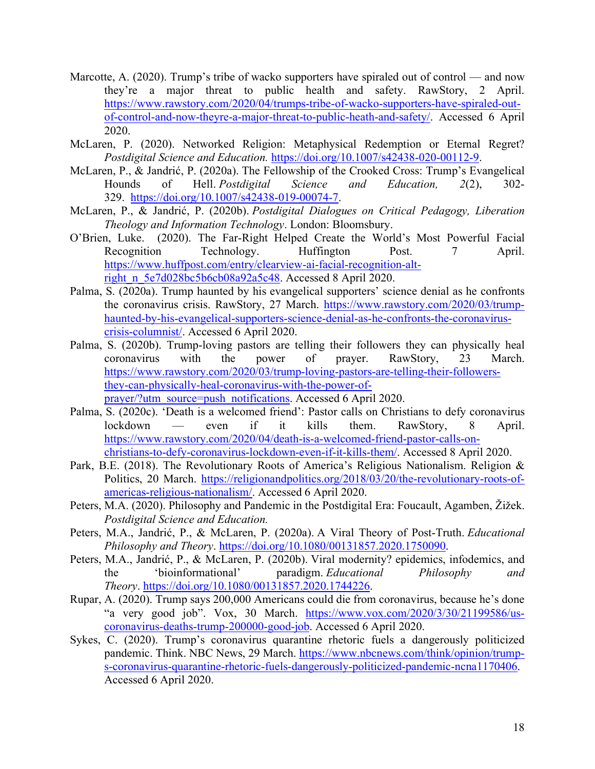- Marcotte, A. (2020). Trump's tribe of wacko supporters have spiraled out of control and now they're a major threat to public health and safety. RawStory, 2 April. [https://www.rawstory.com/2020/04/trumps-tribe-of-wacko-supporters-have-spiraled-out](https://www.rawstory.com/2020/04/trumps-tribe-of-wacko-supporters-have-spiraled-out-of-control-and-now-theyre-a-major-threat-to-public-heath-and-safety/)[of-control-and-now-theyre-a-major-threat-to-public-heath-and-safety/.](https://www.rawstory.com/2020/04/trumps-tribe-of-wacko-supporters-have-spiraled-out-of-control-and-now-theyre-a-major-threat-to-public-heath-and-safety/) Accessed 6 April 2020.
- McLaren, P. (2020). Networked Religion: Metaphysical Redemption or Eternal Regret? *Postdigital Science and Education.* [https://doi.org/10.1007/s42438](https://doi.org/10.1007/s42438-020-00112-9)-020-00112-9.
- McLaren, P., & Jandrić, P. (2020a). The Fellowship of the Crooked Cross: Trump's Evangelical Hounds of Hell. *Postdigital Science and Education, 2*(2), 302- 329. [https://doi.org/10.1007/s42438](https://doi.org/10.1007/s42438-019-00074-7)-019-00074-7.
- McLaren, P., & Jandrić, P. (2020b). *Postdigital Dialogues on Critical Pedagogy, Liberation Theology and Information Technology*. London: Bloomsbury.
- O'Brien, Luke. (2020). The Far-Right Helped Create the World's Most Powerful Facial Recognition Technology. Huffington Post. 7 April. [https://www.huffpost.com/entry/clearview-ai-facial-recognition-alt](https://www.huffpost.com/entry/clearview-ai-facial-recognition-alt-right_n_5e7d028bc5b6cb08a92a5c48)[right\\_n\\_5e7d028bc5b6cb08a92a5c48.](https://www.huffpost.com/entry/clearview-ai-facial-recognition-alt-right_n_5e7d028bc5b6cb08a92a5c48) Accessed 8 April 2020.
- Palma, S. (2020a). Trump haunted by his evangelical supporters' science denial as he confronts the coronavirus crisis. RawStory, 27 March. [https://www.rawstory.com/2020/03/trump](https://www.rawstory.com/2020/03/trump-haunted-by-his-evangelical-supporters-science-denial-as-he-confronts-the-coronavirus-crisis-columnist/)[haunted-by-his-evangelical-supporters-science-denial-as-he-confronts-the-coronavirus](https://www.rawstory.com/2020/03/trump-haunted-by-his-evangelical-supporters-science-denial-as-he-confronts-the-coronavirus-crisis-columnist/)[crisis-columnist/.](https://www.rawstory.com/2020/03/trump-haunted-by-his-evangelical-supporters-science-denial-as-he-confronts-the-coronavirus-crisis-columnist/) Accessed 6 April 2020.
- Palma, S. (2020b). Trump-loving pastors are telling their followers they can physically heal coronavirus with the power of prayer. RawStory, 23 March. [https://www.rawstory.com/2020/03/trump-loving-pastors-are-telling-their-followers](https://www.rawstory.com/2020/03/trump-loving-pastors-are-telling-their-followers-they-can-physically-heal-coronavirus-with-the-power-of-prayer/?utm_source=push_notifications)[they-can-physically-heal-coronavirus-with-the-power-of](https://www.rawstory.com/2020/03/trump-loving-pastors-are-telling-their-followers-they-can-physically-heal-coronavirus-with-the-power-of-prayer/?utm_source=push_notifications)[prayer/?utm\\_source=push\\_notifications.](https://www.rawstory.com/2020/03/trump-loving-pastors-are-telling-their-followers-they-can-physically-heal-coronavirus-with-the-power-of-prayer/?utm_source=push_notifications) Accessed 6 April 2020.
- Palma, S. (2020c). 'Death is a welcomed friend': Pastor calls on Christians to defy coronavirus lockdown — even if it kills them. RawStory, 8 April. [https://www.rawstory.com/2020/04/death-is-a-welcomed-friend-pastor-calls-on](https://www.rawstory.com/2020/04/death-is-a-welcomed-friend-pastor-calls-on-christians-to-defy-coronavirus-lockdown-even-if-it-kills-them/)[christians-to-defy-coronavirus-lockdown-even-if-it-kills-them/](https://www.rawstory.com/2020/04/death-is-a-welcomed-friend-pastor-calls-on-christians-to-defy-coronavirus-lockdown-even-if-it-kills-them/). Accessed 8 April 2020.
- Park, B.E. (2018). The Revolutionary Roots of America's Religious Nationalism. Religion & Politics, 20 March. [https://religionandpolitics.org/2018/03/20/the](https://religionandpolitics.org/2018/03/20/the-revolutionary-roots-of-americas-religious-nationalism/)-revolutionary-roots-of[americas-religious-nationalism/.](https://religionandpolitics.org/2018/03/20/the-revolutionary-roots-of-americas-religious-nationalism/) Accessed 6 April 2020.
- Peters, M.A. (2020). Philosophy and Pandemic in the Postdigital Era: Foucault, Agamben, Žižek. *Postdigital Science and Education.*
- Peters, M.A., Jandrić, P., & McLaren, P. (2020a). A Viral Theory of Post-Truth. *Educational Philosophy and Theory*. <https://doi.org/10.1080/00131857.2020.1750090>.
- Peters, M.A., Jandrić, P., & McLaren, P. (2020b). Viral modernity? epidemics, infodemics, and the 'bioinformational' paradigm. *Educational Philosophy and Theory*. <https://doi.org/10.1080/00131857.2020.1744226>.
- Rupar, A. (2020). Trump says 200,000 Americans could die from coronavirus, because he's done "a very good job". Vox, 30 March. [https://www.vox.com/2020/3/30/21199586/us](https://www.vox.com/2020/3/30/21199586/us-coronavirus-deaths-trump-200000-good-job)[coronavirus-deaths-trump-200000-good-job.](https://www.vox.com/2020/3/30/21199586/us-coronavirus-deaths-trump-200000-good-job) Accessed 6 April 2020.
- Sykes, C. (2020). Trump's coronavirus quarantine rhetoric fuels a dangerously politicized pandemic. Think. NBC News, 29 March. [https://www.nbcnews.com/think/opinion/trump](https://www.nbcnews.com/think/opinion/trump-s-coronavirus-quarantine-rhetoric-fuels-dangerously-politicized-pandemic-ncna1170406)[s-coronavirus-quarantine-rhetoric-fuels-dangerously-politicized-pandemic-ncna1170406.](https://www.nbcnews.com/think/opinion/trump-s-coronavirus-quarantine-rhetoric-fuels-dangerously-politicized-pandemic-ncna1170406) Accessed 6 April 2020.